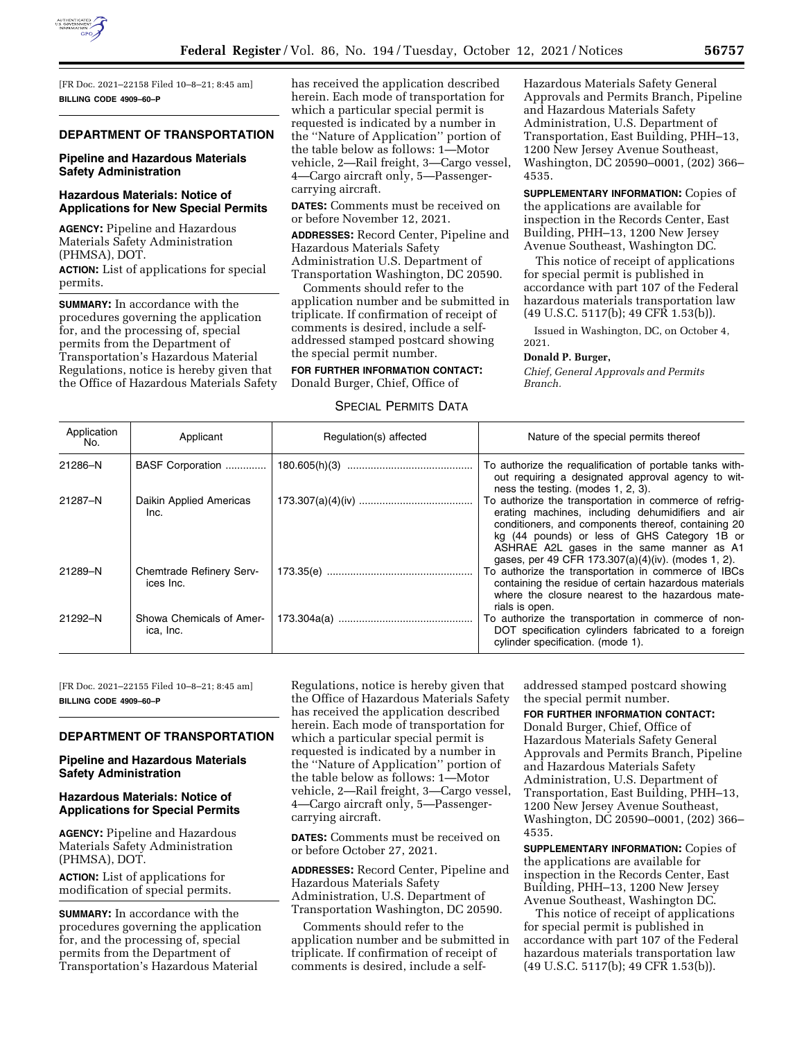

[FR Doc. 2021–22158 Filed 10–8–21; 8:45 am] **BILLING CODE 4909–60–P** 

## **DEPARTMENT OF TRANSPORTATION**

## **Pipeline and Hazardous Materials Safety Administration**

### **Hazardous Materials: Notice of Applications for New Special Permits**

**AGENCY:** Pipeline and Hazardous Materials Safety Administration (PHMSA), DOT.

**ACTION:** List of applications for special permits.

**SUMMARY:** In accordance with the procedures governing the application for, and the processing of, special permits from the Department of Transportation's Hazardous Material Regulations, notice is hereby given that the Office of Hazardous Materials Safety has received the application described herein. Each mode of transportation for which a particular special permit is requested is indicated by a number in the ''Nature of Application'' portion of the table below as follows: 1—Motor vehicle, 2—Rail freight, 3—Cargo vessel, 4—Cargo aircraft only, 5—Passengercarrying aircraft.

**DATES:** Comments must be received on or before November 12, 2021.

**ADDRESSES:** Record Center, Pipeline and Hazardous Materials Safety Administration U.S. Department of Transportation Washington, DC 20590.

Comments should refer to the application number and be submitted in triplicate. If confirmation of receipt of comments is desired, include a selfaddressed stamped postcard showing the special permit number.

**FOR FURTHER INFORMATION CONTACT:**  Donald Burger, Chief, Office of

## SPECIAL PERMITS DATA

Hazardous Materials Safety General Approvals and Permits Branch, Pipeline and Hazardous Materials Safety Administration, U.S. Department of Transportation, East Building, PHH–13, 1200 New Jersey Avenue Southeast, Washington, DC 20590–0001, (202) 366– 4535.

**SUPPLEMENTARY INFORMATION:** Copies of the applications are available for inspection in the Records Center, East Building, PHH–13, 1200 New Jersey Avenue Southeast, Washington DC.

This notice of receipt of applications for special permit is published in accordance with part 107 of the Federal hazardous materials transportation law (49 U.S.C. 5117(b); 49 CFR 1.53(b)).

Issued in Washington, DC, on October 4, 2021.

#### **Donald P. Burger,**

*Chief, General Approvals and Permits Branch.* 

| Application<br>No. | Applicant                             | Regulation(s) affected | Nature of the special permits thereof                                                                                                                                                                                                                                                                                 |
|--------------------|---------------------------------------|------------------------|-----------------------------------------------------------------------------------------------------------------------------------------------------------------------------------------------------------------------------------------------------------------------------------------------------------------------|
| 21286-N            | BASF Corporation                      |                        | To authorize the requalification of portable tanks with-<br>out requiring a designated approval agency to wit-<br>ness the testing. (modes 1, 2, 3).                                                                                                                                                                  |
| 21287-N            | Daikin Applied Americas<br>Inc.       |                        | To authorize the transportation in commerce of refrig-<br>erating machines, including dehumidifiers and air<br>conditioners, and components thereof, containing 20<br>kg (44 pounds) or less of GHS Category 1B or<br>ASHRAE A2L gases in the same manner as A1<br>gases, per 49 CFR 173.307(a)(4)(iv). (modes 1, 2). |
| 21289-N            | Chemtrade Refinery Serv-<br>ices Inc. |                        | To authorize the transportation in commerce of IBCs<br>containing the residue of certain hazardous materials<br>where the closure nearest to the hazardous mate-<br>rials is open.                                                                                                                                    |
| 21292-N            | Showa Chemicals of Amer-<br>ica, Inc. |                        | To authorize the transportation in commerce of non-<br>DOT specification cylinders fabricated to a foreign<br>cylinder specification. (mode 1).                                                                                                                                                                       |

[FR Doc. 2021–22155 Filed 10–8–21; 8:45 am] **BILLING CODE 4909–60–P** 

# **DEPARTMENT OF TRANSPORTATION**

## **Pipeline and Hazardous Materials Safety Administration**

### **Hazardous Materials: Notice of Applications for Special Permits**

**AGENCY:** Pipeline and Hazardous Materials Safety Administration (PHMSA), DOT.

**ACTION:** List of applications for modification of special permits.

**SUMMARY:** In accordance with the procedures governing the application for, and the processing of, special permits from the Department of Transportation's Hazardous Material

Regulations, notice is hereby given that the Office of Hazardous Materials Safety has received the application described herein. Each mode of transportation for which a particular special permit is requested is indicated by a number in the ''Nature of Application'' portion of the table below as follows: 1—Motor vehicle, 2—Rail freight, 3—Cargo vessel, 4—Cargo aircraft only, 5—Passengercarrying aircraft.

**DATES:** Comments must be received on or before October 27, 2021.

**ADDRESSES:** Record Center, Pipeline and Hazardous Materials Safety Administration, U.S. Department of Transportation Washington, DC 20590.

Comments should refer to the application number and be submitted in triplicate. If confirmation of receipt of comments is desired, include a self-

addressed stamped postcard showing the special permit number.

## **FOR FURTHER INFORMATION CONTACT:**

Donald Burger, Chief, Office of Hazardous Materials Safety General Approvals and Permits Branch, Pipeline and Hazardous Materials Safety Administration, U.S. Department of Transportation, East Building, PHH–13, 1200 New Jersey Avenue Southeast, Washington, DC 20590–0001, (202) 366– 4535.

**SUPPLEMENTARY INFORMATION:** Copies of the applications are available for inspection in the Records Center, East Building, PHH–13, 1200 New Jersey Avenue Southeast, Washington DC.

This notice of receipt of applications for special permit is published in accordance with part 107 of the Federal hazardous materials transportation law (49 U.S.C. 5117(b); 49 CFR 1.53(b)).